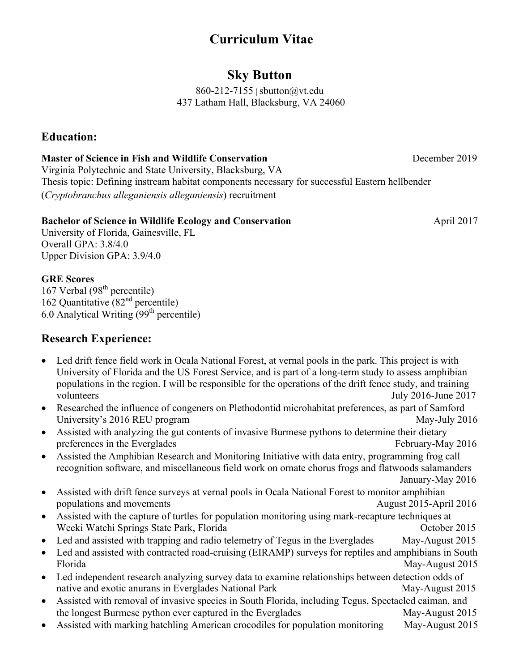# **Curriculum Vitae**

# **Sky Button**

860-212-7155 **|** sbutton@vt.edu 437 Latham Hall, Blacksburg, VA 24060

### **Education:**

#### **Master of Science in Fish and Wildlife Conservation December 2019 December 2019**

Virginia Polytechnic and State University, Blacksburg, VA Thesis topic: Defining instream habitat components necessary for successful Eastern hellbender (*Cryptobranchus alleganiensis alleganiensis*) recruitment

#### **Bachelor of Science in Wildlife Ecology and Conservation April 2017 April 2017**

University of Florida, Gainesville, FL Overall GPA: 3.8/4.0 Upper Division GPA: 3.9/4.0

#### **GRE Scores**

167 Verbal (98<sup>th</sup> percentile) 162 Quantitative  $(82<sup>nd</sup>$  percentile) 6.0 Analytical Writing  $(99<sup>th</sup>$  percentile)

## **Research Experience:**

- Led drift fence field work in Ocala National Forest, at vernal pools in the park. This project is with University of Florida and the US Forest Service, and is part of a long-term study to assess amphibian populations in the region. I will be responsible for the operations of the drift fence study, and training volunteers July 2016-June 2017
- Researched the influence of congeners on Plethodontid microhabitat preferences, as part of Samford University's 2016 REU program May-July 2016
- Assisted with analyzing the gut contents of invasive Burmese pythons to determine their dietary preferences in the Everglades February-May 2016
- Assisted the Amphibian Research and Monitoring Initiative with data entry, programming frog call recognition software, and miscellaneous field work on ornate chorus frogs and flatwoods salamanders

January-May 2016

- Assisted with drift fence surveys at vernal pools in Ocala National Forest to monitor amphibian populations and movements August 2015-April 2016
- Assisted with the capture of turtles for population monitoring using mark-recapture techniques at Weeki Watchi Springs State Park, Florida October 2015
- Led and assisted with trapping and radio telemetry of Tegus in the Everglades May-August 2015
- Led and assisted with contracted road-cruising (EIRAMP) surveys for reptiles and amphibians in South Florida May-August 2015
- Led independent research analyzing survey data to examine relationships between detection odds of native and exotic anurans in Everglades National Park May-August 2015
- Assisted with removal of invasive species in South Florida, including Tegus, Spectacled caiman, and the longest Burmese python ever captured in the Everglades May-August 2015
- Assisted with marking hatchling American crocodiles for population monitoring May-August 2015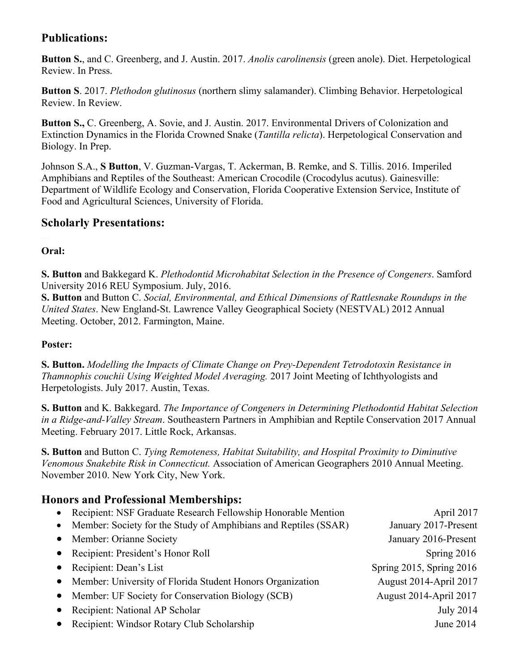# **Publications:**

**Button S.**, and C. Greenberg, and J. Austin. 2017. *Anolis carolinensis* (green anole). Diet. Herpetological Review. In Press.

**Button S**. 2017. *Plethodon glutinosus* (northern slimy salamander). Climbing Behavior. Herpetological Review. In Review.

**Button S.,** C. Greenberg, A. Sovie, and J. Austin. 2017. Environmental Drivers of Colonization and Extinction Dynamics in the Florida Crowned Snake (*Tantilla relicta*). Herpetological Conservation and Biology. In Prep.

Johnson S.A., **S Button**, V. Guzman-Vargas, T. Ackerman, B. Remke, and S. Tillis. 2016. Imperiled Amphibians and Reptiles of the Southeast: American Crocodile (Crocodylus acutus). Gainesville: Department of Wildlife Ecology and Conservation, Florida Cooperative Extension Service, Institute of Food and Agricultural Sciences, University of Florida.

## **Scholarly Presentations:**

**Oral:**

**S. Button** and Bakkegard K. *Plethodontid Microhabitat Selection in the Presence of Congeners*. Samford University 2016 REU Symposium. July, 2016.

**S. Button** and Button C. *Social, Environmental, and Ethical Dimensions of Rattlesnake Roundups in the United States*. New England-St. Lawrence Valley Geographical Society (NESTVAL) 2012 Annual Meeting. October, 2012. Farmington, Maine.

#### **Poster:**

**S. Button.** *Modelling the Impacts of Climate Change on Prey-Dependent Tetrodotoxin Resistance in Thamnophis couchii Using Weighted Model Averaging.* 2017 Joint Meeting of Ichthyologists and Herpetologists. July 2017. Austin, Texas.

**S. Button** and K. Bakkegard. *The Importance of Congeners in Determining Plethodontid Habitat Selection in a Ridge-and-Valley Stream*. Southeastern Partners in Amphibian and Reptile Conservation 2017 Annual Meeting. February 2017. Little Rock, Arkansas.

**S. Button** and Button C. *Tying Remoteness, Habitat Suitability, and Hospital Proximity to Diminutive Venomous Snakebite Risk in Connecticut.* Association of American Geographers 2010 Annual Meeting. November 2010. New York City, New York.

# **Honors and Professional Memberships:**

| $\bullet$ | Recipient: NSF Graduate Research Fellowship Honorable Mention   | April 2017                    |
|-----------|-----------------------------------------------------------------|-------------------------------|
| $\bullet$ | Member: Society for the Study of Amphibians and Reptiles (SSAR) | January 2017-Present          |
| $\bullet$ | Member: Orianne Society                                         | January 2016-Present          |
| $\bullet$ | Recipient: President's Honor Roll                               | Spring $2016$                 |
|           | Recipient: Dean's List                                          | Spring 2015, Spring 2016      |
|           | Member: University of Florida Student Honors Organization       | <b>August 2014-April 2017</b> |
|           | Member: UF Society for Conservation Biology (SCB)               | <b>August 2014-April 2017</b> |
|           | Recipient: National AP Scholar                                  | <b>July 2014</b>              |
|           | Recipient: Windsor Rotary Club Scholarship                      | June 2014                     |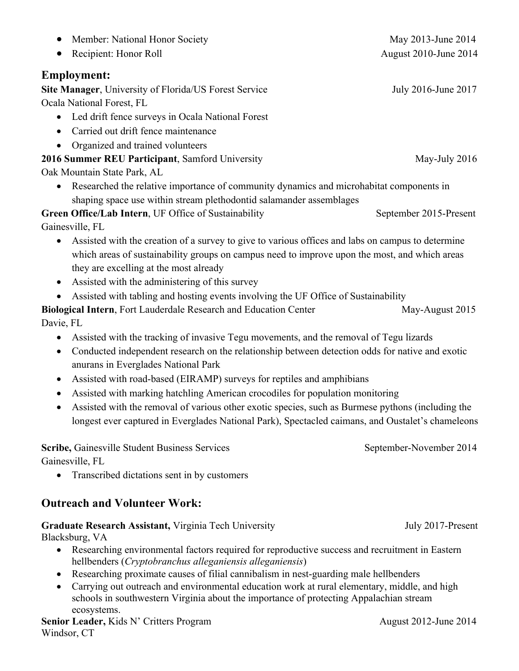- Recipient: Honor Roll August 2010-June 2014 **Site Manager**, University of Florida/US Forest Service July 2016-June 2017 • Led drift fence surveys in Ocala National Forest • Carried out drift fence maintenance • Organized and trained volunteers **2016 Summer REU Participant**, Samford University May-July 2016 Oak Mountain State Park, AL • Researched the relative importance of community dynamics and microhabitat components in shaping space use within stream plethodontid salamander assemblages Green Office/Lab Intern, UF Office of Sustainability September 2015-Present Gainesville, FL • Assisted with the creation of a survey to give to various offices and labs on campus to determine which areas of sustainability groups on campus need to improve upon the most, and which areas they are excelling at the most already • Assisted with the administering of this survey • Assisted with tabling and hosting events involving the UF Office of Sustainability **Biological Intern**, Fort Lauderdale Research and Education Center May-August 2015 Davie, FL • Assisted with the tracking of invasive Tegu movements, and the removal of Tegu lizards • Conducted independent research on the relationship between detection odds for native and exotic anurans in Everglades National Park
	- Assisted with road-based (EIRAMP) surveys for reptiles and amphibians
	- Assisted with marking hatchling American crocodiles for population monitoring
	- Assisted with the removal of various other exotic species, such as Burmese pythons (including the longest ever captured in Everglades National Park), Spectacled caimans, and Oustalet's chameleons

**Scribe,** Gainesville Student Business Services September-November 2014 Gainesville, FL

• Transcribed dictations sent in by customers

# **Outreach and Volunteer Work:**

# **Graduate Research Assistant, Virginia Tech University July 2017-Present**

Blacksburg, VA

- Researching environmental factors required for reproductive success and recruitment in Eastern hellbenders (*Cryptobranchus alleganiensis alleganiensis*)
- Researching proximate causes of filial cannibalism in nest-guarding male hellbenders
- Carrying out outreach and environmental education work at rural elementary, middle, and high schools in southwestern Virginia about the importance of protecting Appalachian stream ecosystems.

**Senior Leader,** Kids N' Critters Program August 2012-June 2014 Windsor, CT

• Member: National Honor Society May 2013-June 2014

# **Employment:**

Ocala National Forest, FL